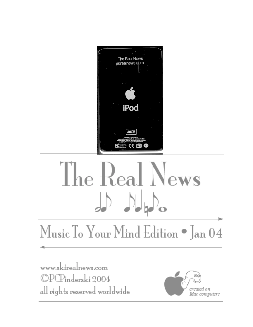

# The Real News  $\begin{array}{c} \begin{array}{c} \end{array} & \begin{array}{c} \end{array} & \begin{array}{c} \end{array} & \begin{array}{c} \end{array} \end{array} \end{array}$

## Music To Your Mind Edition . Jan 04

www.skirealnews.com ©PCPinderski 2004 all rights reserved worldwide

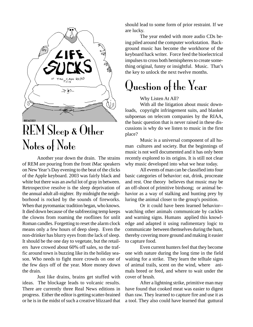

### REM Sleep & Other Notes of Note

Another year down the drain. The strains of REM are pouring from the front iMac speakers on New Year's Day evening to the beat of the clicks of the Apple keyboard. 2003 was fairly black and white but there was an awful lot of gray in between. Retrospective resolve is the sleep deprivation of the annual adult all-nighter. By midnight the neighborhood is rocked by the sounds of fireworks. When that pyromaniac tradition began, who knows. It died down because of the subfreezing temp keeps the clowns from roaming the rooflines for unlit Roman candles. Forgetting to reset the alarm clock means only a few hours of deep sleep. Even the non-drinker has blurry eyes from the lack of sleep. It should be the one day to vegetate, but the retailers have crowed about 60% off sales, so the traffic around town is buzzing like its the holiday season. Who needs to fight more crowds on one of the few days off of the year. More money down the drain.

Just like drains, brains get stuffed with ideas. The blockage leads to volcanic results. There are currently three Real News editions in progress. Either the editor is getting scatter-brained or he is in the midst of such a creative blizzard that should lead to some form of prior restraint. If we are lucky.

The year ended with more audio CDs being piled around the computer workstation. Background music has become the workhorse of the keyboard hack writer. Force feed the bioelectrical impulses to cross both hemispheres to create something original, funny or insightful. Music. That's the key to unlock the next twelve months.

### Question of the Year

#### Why Listen At All?

With all the litigation about music downloads, copyright infringement suits, and blanket subpoenas on telecom companies by the RIAA, the basic question that is never raised in these discussions is why do we listen to music in the first place?

Music is a universal component of all human cultures and society. But the beginnings of music is not well documented and it has only been recently explored to its origins. It is still not clear why music developed into what we hear today.

All events of man can be classified into four basic categories of behavior: eat, drink, procreate and rest. One theory believes that music may be an off-shoot of primitive birdsong; or animal behavior as a way of stalking and hunting prey by luring the animal closer to the group's position.

Or it could have been learned behavior- watching other animals communicate by cackles and warning signs. Humans applied this knowledge and adapted it using rudimentary logic to communicate between themselves during the hunt, thereby covering more ground and making it easier to capture food.

Even current hunters feel that they become one with nature during the long time in the field waiting for a strike. They learn the telltale signs of animal trails, scent on the wind, where animals breed or feed, and where to wait under the cover of brush.

After a lightning strike, primitive man may have found that cooked meat was easier to digest than raw. They learned to capture fire and use it as a tool. They also could have learned that guttural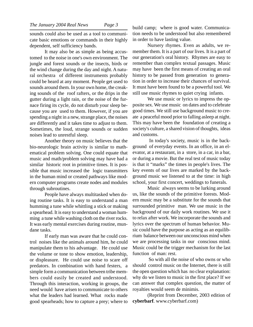sounds could also be used as a tool to communicate basic emotions or commands in their highly dependent, self sufficiency bands.

It may also be as simple as being accustomed to the noise in one's own environment. The jungle and forest sounds or the insects, birds or the wind change during the day and night. A natural orchestra of different instruments probably could be heard at any moment. People get used to sounds around them. In your own home, the creaking sounds of the roof rafters, or the drips in the gutter during a light rain, or the noise of the furnace firing its cycle, do not disturb your sleep because you are used to them. However, if you are spending a night in a new, strange place, the noises are differently and it takes time to adjust to them. Sometimes, the loud, strange sounds or sudden noises lead to unrestful sleep.

Another theory on music believes that the bio-neurologic brain activity is similar to mathematical problem solving. One could equate that music and math/problem solving may have had a similar historic root in primitive times. It is possible that music increased the logic transmitters in the human mind or created pathways like modern computer programs create nodes and modules through subroutines.

People have always multitasked when doing routine tasks. It is easy to understand a man humming a tune while whittling a stick or making a spearhead. It is easy to understand a woman humming a tune while washing cloth on the river rocks. It was early mental exercises during routine, mundane tasks.

If early man was aware that he could control noises like the animals around him, he could manipulate them to his advantage. He could use the volume or tone to show emotion, leadership, or displeasure. He could use noise to scare off predators. In combination with hand festers, a simple form a communication between tribe members could easily be created and understood. Through this interaction, working in groups, the need would have arisen to communicate to others what the leaders had learned. What rocks made good spearheads; how to capture a prey; where to

build camp; where is good water. Communication needs to be understood but also remembered in order to have lasting value.

Nursery rhymes. Even as adults, we remember them. It is a part of our lives. It is a part of our generation's oral history. Rhymes are easy to remember than complex textual passages. Music may have been the first means of creating an oral history to be passed from generation to generation in order to increase their chances of survival. It must have been found to be a powerful tool. We still use music rhymes to quiet crying infants.

We use music or lyrics to impress the opposite sex. We use music on dates and to celebrate good times. We still use background music to create a peaceful mood prior to falling asleep at night. This may have been the foundation of creating a society's culture, a shared vision of thoughts, ideas and customs.

 In today's society, music is in the background of everyday events. In an office, in an elevator, at a restaurant, in a store, in a car, in a bar, or during a movie. But the real test of music today is that it "marks" the times in people's lives. The key events of our lives are marked by the background music we listened to at the time: in high school, your first concert, weddings to funerals.

Music always seems to be lurking around us, like the sounds of the primitive forests. Modern music may be a substitute for the sounds that surrounded primitive man. We use music in the background of our daily work routines. We use it to relax after work. We incorporate the sounds and lyrics over the spectrum of human behavior. Music could have the purpose as acting as an equilibrium balance between our unconscious mind when we are processing tasks in our conscious mind. Music could be the trigger mechanism for the last function of man: rest.

 So with all the noise of who owns or who should control music on the Internet, there is still the open question which has no clear explanation: why do we listen to music in the first place? If we can answer that complex question, the matter of royalties would seem de minimis.

(Reprint from December, 2003 edition of **cyberbarf**. www.cyberbarf.com)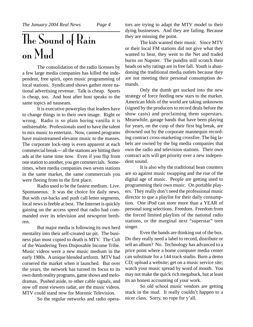### The Sound of Rain on Mud

The consolidation of the radio licenses by a few large media companies has killed the independent, free spirit, open music programming of local stations. Syndicated shows gather more national advertising revenue. Talk is cheap. Sports is cheap, too. And host after host speaks to the same topics ad nauseam.

It is executive powerplay that leaders have to change things in to their own image. Right or wrong. Radio is so plain boring vanilla it is unlistenable. Professionals used to have the talent to mix music to entertain. Now, canned programs have mainstreamed elevator music to the masses. The corporate lock-step is even apparent at each commercial break--- all the stations are hitting their ads at the same time now. Even if you flip from one station to another, you get commercials. Sometimes, when media companies own seven stations in the same market, the same commercials you were fleeing from in the first place.

Radio used to be the fastest medium. Live. Spontaneous. It was the choice for daily news. But with cut-backs and push call letter segments, local news is feeble at best. The Internet is quickly gaining on the access speed that radio had commanded over its television and newsprint brethren.

But major media is following its own herd mentality into their self-created tar pit. The business plan most copied to death is MTV. The Cult of the Wandering Teen Disposable Income Tribe. Music videos were a new music medium in the early 1980s. A unique blended artform. MTV had cornered the market when it launched. But over the years, the network has turned its focus to its own dumb reality programs, game shows and melodramas. Pushed aside, to other cable signals, and now off most viewers radar, are the music videos. MTV could stand now for Moronic Television.

So the regular networks and radio opera-

tors are trying to adapt the MTV model to their dying businesses. And they are failing. Because they are missing the point.

The kids wanted their music. Since MTV or their local FM stations did not give what they wanted to hear, they went to the Net and traded burns on Napster. The pundits still scratch their heads on why ratings are in free fall. Youth is abandoning the traditional media outlets because they are not meeting their personal consumption demands.

Only the dumb get sucked into the new strategy of force feeding new stars to the market. American Idols of the world are taking unknowns (signed by the producers to record deals before the show casts) and proclaiming them superstars. Meanwhile, garage bands that have been playing for years, on the cusp of their first big break, are drowned out by the corporate mannequin recording contract cross-marketing crossfire. The big labels are owned by the big media companies that own the radio and television stations. Their own contract acts will get priority over a new independent sound.

It is also why the traditional bean counters are so against music swapping and the rise of the digital age of music. People are getting used to programming their own music. On portable players. They really don't need the professional music director to que a playlist for their daily consumption. One iPod can store more than a YEAR of personal song selections. Freedom. Freedom from the forced limited playlists of the national radio stations, or the marginal next "superstar" teen singer.

Even the bands are thinking out of the box. Do they really need a label to record, distribute or sell an album? No. Technology has advanced to a price point where a home computer media center can substitute for a 144 track studio. Burn a demo CD; upload a website; get on a music service site; watch your music spread by word of mouth. You may not make the quick rich megabuck, but at least its an honest accounting of your work.

So old school music vendors are getting stuck in the mud. It really couldn't happen to a nicer class. Sorry, no rope for y'all.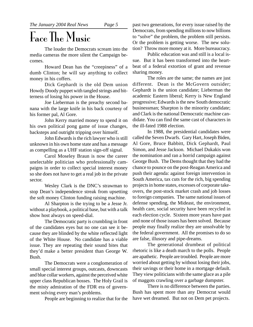### Face The Music

The louder the Democrats scream into the media cameras the more silent the Campaign becomes.

Howard Dean has the "creepiness" of a dumb Clinton; he will say anything to collect money in his coffers.

Dick Gephardt is the old Dem union Howdy Doody puppet with tangled strings and bitterness of losing his power in the House.

Joe Lieberman is the preachy second banana with the large knife in his back courtesy of his former pal, Al Gore.

John Kerry married money to spend it on his own political pong game of issue changes, backsteps and outright tripping over himself.

John Edwards is the rich lawyer who is still unknown in his own home state and has a message as compelling as a UHF station sign-off signal.

Carol Moseley Braun is now the career unelectable politician who professionally campaigns in order to collect special interest money so she does not have to get a real job in the private sector.

Wesley Clark is the DNC's strawman to stop Dean's independence streak from upsetting the soft money Clinton funding raising machine.

Al Sharpton is the trying to be a Jesse Jr. without a playbook, a political base, but with a talk show host always on speed-dial.

The Democratic party is crumbling in front of the candidates eyes but no one can see it because they are blinded by the white reflected light of the White House. No candidate has a viable issue. They are repeating their sound bites that they'd make a better president than George W. Bush.

The Democrats were a conglomeration of small special interest groups, outcasts, downcasts and blue collar workers, against the perceived white upper class Republican bosses. The Holy Grail is the misty admiration of the FDR era of government solving every man's problems.

People are beginning to realize that for the

past two generations, for every issue raised by the Democrats, from spending millions to now billions to "solve" the problem, the problem still persists. Or the problem is getting worse. The new solution? Throw more money at it. More bureaucracy.

Public education was and still is a local issue. But it has been transformed into the heartbeat of a federal extortion of grant and revenue sharing money.

The roles are the same; the names are just different. Dean is the McGovern outsider; Gephardt is the union candidate; Lieberman the academic Eastern liberal; Kerry is New England progressive; Edwards is the new South democratic businessman; Sharpton is the minority candidate; and Clark is the national Democratic machine candidate. You can find the same cast of characters in the ill-fated 1988 election.

In 1988, the presidential candidates were called the Seven Dwarfs. Gary Hart, Joseph Biden, Al Gore, Bruce Babbitt, Dick Gephardt, Paul Simon, and Jesse Jackson. Michael Dukakis won the nomination and ran a horrid campaign against George Bush. The Dems thought that they had the chance to pounce on the post-Reagan America and push their agenda: against foreign intervention in South America, tax cuts for the rich, big spending projects in home states, excesses of corporate takeovers, the post-stock market crash and job losses to foreign companies. The same national issues of defense spending, the Mideast, the environment, health care, social security have been recycled in each election cycle. Sixteen more years have past and none of those issues has been solved. Because people may finally realize they are unsolvable by the federal government. All the promises to do so are false, illusory and pipe-dreams.

The generational drumbeat of political rhetoric is like a death march to the polls. People are apathetic. People are troubled. People are more worried about getting by without losing their jobs, their savings or their home in a mortgage default. They view politicians with the same glace as a pile of maggots crawling over a garbage dumpster.

There is no difference between the parties. Bush has spent more than any Democrat would have wet dreamed. But not on Dem pet projects.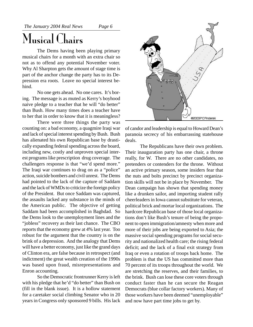### Musical Chairs

The Dems having been playing primary musical chairs for a month with an extra chair so not as to offend any potential November voter. Why Al Sharpton gets the amount of stage time is part of the anchor change the party has to its Depression era roots. Leave no special interest behind.

No one gets ahead. No one cares. It's boring. The message is as muted as Kerry's boyhood naive pledge to a teacher that he will "do better" than Bush. How many times does a teacher have to her that in order to know that it is meaningless?

There were three things the party was counting on: a bad economy, a quagmire Iraqi war and lack of special interest spending by Bush. Bush has alienated his own Republican base by drastically expanding federal spending across the board, including new, costly and unproven special interest programs like prescription drug coverage. The challengers response is that "we'd spend more." The Iraqi war continues to drag on as a "police" action, suicide bombers and civil unrest. The Dems had pointed to the lack of the capture of Saddam and the lack of WMDs to criticize the foreign policy of the President. But once Saddam was captured, the assaults lacked any substance in the minds of the American public. The objective of getting Saddam had been accomplished in Baghdad. So the Dems look to the unemployment lines and the "jobless" recovery as their last chance. The CBO reports that the economy grew at 4% last year. Too robust for the argument that the country is on the brink of a depression. And the analogy that Dems will have a better economy, just like the grand days of Clinton era, are false because in retrospect (and indictment) the great wealth creation of the 1990s was based upon fraud, misrepresentations and Enron accounting.

So the Democratic frontrunner Kerry is left with his pledge that he'd "do better" than Bush on (fill in the blank issue). It is a hollow statement for a caretaker social climbing Senator who in 20 years in Congress only sponsored 9 bills. His lack



of candor and leadership is equal to Howard Dean's paranoia secrecy of his embarrassing statehouse deals.

The Republicans have their own problem. Their inauguration party has one chair, a throne really, for W. There are no other candidates, no pretenders or contenders for the throne. Without an active primary season, some insiders fear that the nuts and bolts precinct by precinct organization skills will not be in place by November. The Dean campaign has shown that spending money like a drunken sailor, and importing student rally cheerleaders in Iowa cannot substitute for veteran, political brick and mortar local organizations. The hardcore Republican base of those local organizations don't like Bush's tenure of being the proponent to open immigration/amnesty when more and more of their jobs are being exported to Asia; the massive social spending programs for social security and nationalized health care; the rising federal deficit; and the lack of a final exit strategy from Iraq or even a rotation of troops back home. The problem is that the US has committed more than 70 percent of its troops throughout the world. We are stretching the reserves, and their families, to the brink. Bush can lose these core voters through conduct faster than he can secure the Reagan Democrats (blue collar factory workers). Many of those workers have been deemed "unemployable" and now have part time jobs to get by.